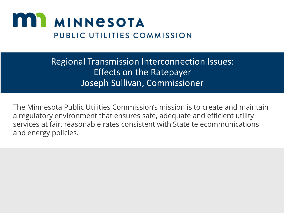

#### Regional Transmission Interconnection Issues: Effects on the Ratepayer Joseph Sullivan, Commissioner

The Minnesota Public Utilities Commission's mission is to create and maintain a regulatory environment that ensures safe, adequate and efficient utility services at fair, reasonable rates consistent with State telecommunications and energy policies.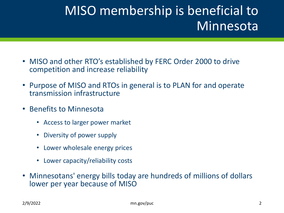# MISO membership is beneficial to Minnesota

- MISO and other RTO's established by FERC Order 2000 to drive competition and increase reliability
- Purpose of MISO and RTOs in general is to PLAN for and operate transmission infrastructure
- Benefits to Minnesota
	- Access to larger power market
	- Diversity of power supply
	- Lower wholesale energy prices
	- Lower capacity/reliability costs
- Minnesotans' energy bills today are hundreds of millions of dollars lower per year because of MISO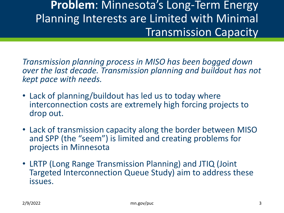### **Problem**: Minnesota's Long-Term Energy Planning Interests are Limited with Minimal Transmission Capacity

*Transmission planning process in MISO has been bogged down over the last decade. Transmission planning and buildout has not kept pace with needs.*

- Lack of planning/buildout has led us to today where interconnection costs are extremely high forcing projects to drop out.
- Lack of transmission capacity along the border between MISO and SPP (the "seem") is limited and creating problems for projects in Minnesota
- LRTP (Long Range Transmission Planning) and JTIQ (Joint Targeted Interconnection Queue Study) aim to address these issues.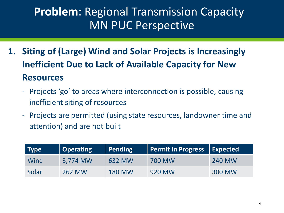# **Problem**: Regional Transmission Capacity MN PUC Perspective

- **1. Siting of (Large) Wind and Solar Projects is Increasingly Inefficient Due to Lack of Available Capacity for New Resources**
	- Projects 'go' to areas where interconnection is possible, causing inefficient siting of resources
	- Projects are permitted (using state resources, landowner time and attention) and are not built

| <b>Type</b> | Operating     | Pending       | <b>Permit In Progress</b> | Expected |
|-------------|---------------|---------------|---------------------------|----------|
| Wind        | 3,774 MW      | 632 MW        | 700 MW                    | 240 MW   |
| Solar       | <b>262 MW</b> | <b>180 MW</b> | 920 MW                    | 300 MW   |